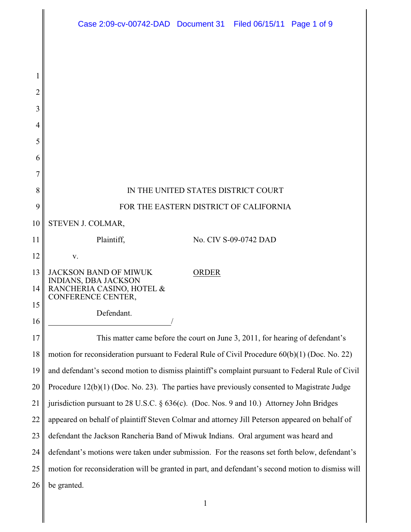|          | Case 2:09-cv-00742-DAD  Document 31  Filed 06/15/11  Page 1 of 9                                  |
|----------|---------------------------------------------------------------------------------------------------|
|          |                                                                                                   |
|          |                                                                                                   |
| 1        |                                                                                                   |
| 2        |                                                                                                   |
| 3        |                                                                                                   |
| 4        |                                                                                                   |
| 5        |                                                                                                   |
| 6        |                                                                                                   |
| 7        |                                                                                                   |
| 8        | IN THE UNITED STATES DISTRICT COURT                                                               |
| 9        | FOR THE EASTERN DISTRICT OF CALIFORNIA                                                            |
| 10       | STEVEN J. COLMAR,                                                                                 |
| 11       | Plaintiff,<br>No. CIV S-09-0742 DAD                                                               |
| 12       | V.                                                                                                |
| 13<br>14 | <b>JACKSON BAND OF MIWUK</b><br><b>ORDER</b><br>INDIANS, DBA JACKSON<br>RANCHERIA CASINO, HOTEL & |
| 15       | CONFERENCE CENTER,                                                                                |
| 16       | Defendant.                                                                                        |
| 17       | This matter came before the court on June 3, 2011, for hearing of defendant's                     |
| 18       | motion for reconsideration pursuant to Federal Rule of Civil Procedure 60(b)(1) (Doc. No. 22)     |
| 19       | and defendant's second motion to dismiss plaintiff's complaint pursuant to Federal Rule of Civil  |
| 20       | Procedure 12(b)(1) (Doc. No. 23). The parties have previously consented to Magistrate Judge       |
| 21       | jurisdiction pursuant to 28 U.S.C. § 636(c). (Doc. Nos. 9 and 10.) Attorney John Bridges          |
| 22       | appeared on behalf of plaintiff Steven Colmar and attorney Jill Peterson appeared on behalf of    |
| 23       | defendant the Jackson Rancheria Band of Miwuk Indians. Oral argument was heard and                |
| 24       | defendant's motions were taken under submission. For the reasons set forth below, defendant's     |
| 25       | motion for reconsideration will be granted in part, and defendant's second motion to dismiss will |
| 26       | be granted.                                                                                       |
|          |                                                                                                   |

║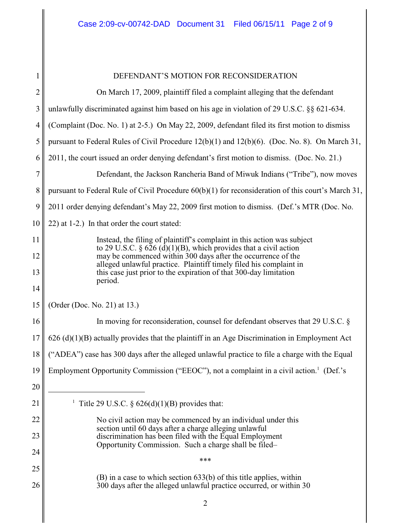| 1               | DEFENDANT'S MOTION FOR RECONSIDERATION                                                                                                                                                                   |
|-----------------|----------------------------------------------------------------------------------------------------------------------------------------------------------------------------------------------------------|
| $\overline{c}$  | On March 17, 2009, plaintiff filed a complaint alleging that the defendant                                                                                                                               |
| 3               | unlawfully discriminated against him based on his age in violation of 29 U.S.C. §§ 621-634.                                                                                                              |
| $\overline{4}$  | (Complaint (Doc. No. 1) at 2-5.) On May 22, 2009, defendant filed its first motion to dismiss                                                                                                            |
| 5               | pursuant to Federal Rules of Civil Procedure 12(b)(1) and 12(b)(6). (Doc. No. 8). On March 31,                                                                                                           |
| 6               | 2011, the court issued an order denying defendant's first motion to dismiss. (Doc. No. 21.)                                                                                                              |
| $\overline{7}$  | Defendant, the Jackson Rancheria Band of Miwuk Indians ("Tribe"), now moves                                                                                                                              |
| 8               | pursuant to Federal Rule of Civil Procedure $60(b)(1)$ for reconsideration of this court's March 31,                                                                                                     |
| 9               | 2011 order denying defendant's May 22, 2009 first motion to dismiss. (Def.'s MTR (Doc. No.                                                                                                               |
| 10              | 22) at 1-2.) In that order the court stated:                                                                                                                                                             |
| 11              | Instead, the filing of plaintiff's complaint in this action was subject                                                                                                                                  |
| 12              | to 29 U.S.C. § $626$ (d)(1)(B), which provides that a civil action<br>may be commenced within 300 days after the occurrence of the<br>alleged unlawful practice. Plaintiff timely filed his complaint in |
| 13              | this case just prior to the expiration of that 300-day limitation<br>period.                                                                                                                             |
| 14              |                                                                                                                                                                                                          |
| 15              | (Order (Doc. No. 21) at 13.)                                                                                                                                                                             |
| 16              | In moving for reconsideration, counsel for defendant observes that 29 U.S.C. §                                                                                                                           |
| 17              | $626$ (d)(1)(B) actually provides that the plaintiff in an Age Discrimination in Employment Act                                                                                                          |
| 18 <sup>1</sup> | ("ADEA") case has 300 days after the alleged unlawful practice to file a charge with the Equal                                                                                                           |
| 19              | Employment Opportunity Commission ("EEOC"), not a complaint in a civil action. <sup>1</sup> (Def.'s                                                                                                      |
| 20              |                                                                                                                                                                                                          |
| 21              | Title 29 U.S.C. $\S$ 626(d)(1)(B) provides that:                                                                                                                                                         |
| 22              | No civil action may be commenced by an individual under this                                                                                                                                             |
| 23              | section until 60 days after a charge alleging unlawful<br>discrimination has been filed with the Equal Employment<br>Opportunity Commission. Such a charge shall be filed-                               |
| 24              | ***                                                                                                                                                                                                      |
| 25              | $(B)$ in a case to which section 633(b) of this title applies, within                                                                                                                                    |
| 26              | 300 days after the alleged unlawful practice occurred, or within 30                                                                                                                                      |
|                 |                                                                                                                                                                                                          |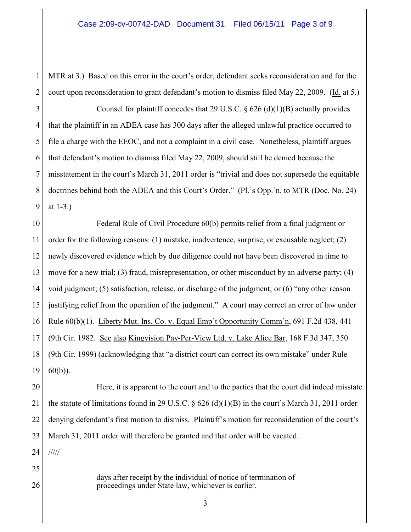1 2 MTR at 3.) Based on this error in the court's order, defendant seeks reconsideration and for the court upon reconsideration to grant defendant's motion to dismiss filed May 22, 2009. (Id. at 5.)

3 4 5 6 7 8 9 Counsel for plaintiff concedes that 29 U.S.C.  $\S$  626 (d)(1)(B) actually provides that the plaintiff in an ADEA case has 300 days after the alleged unlawful practice occurred to file a charge with the EEOC, and not a complaint in a civil case. Nonetheless, plaintiff argues that defendant's motion to dismiss filed May 22, 2009, should still be denied because the misstatement in the court's March 31, 2011 order is "trivial and does not supersede the equitable doctrines behind both the ADEA and this Court's Order." (Pl.'s Opp.'n. to MTR (Doc. No. 24) at 1-3.)

10 11 12 13 14 15 16 17 18 19 Federal Rule of Civil Procedure 60(b) permits relief from a final judgment or order for the following reasons: (1) mistake, inadvertence, surprise, or excusable neglect; (2) newly discovered evidence which by due diligence could not have been discovered in time to move for a new trial; (3) fraud, misrepresentation, or other misconduct by an adverse party; (4) void judgment; (5) satisfaction, release, or discharge of the judgment; or (6) "any other reason justifying relief from the operation of the judgment." A court may correct an error of law under Rule 60(b)(1). Liberty Mut. Ins. Co. v. Equal Emp't Opportunity Comm'n, 691 F.2d 438, 441 (9th Cir. 1982. See also Kingvision Pay-Per-View Ltd. v. Lake Alice Bar, 168 F.3d 347, 350 (9th Cir. 1999) (acknowledging that "a district court can correct its own mistake" under Rule 60(b)).

20 21 22 23 Here, it is apparent to the court and to the parties that the court did indeed misstate the statute of limitations found in 29 U.S.C.  $\S$  626 (d)(1)(B) in the court's March 31, 2011 order denying defendant's first motion to dismiss. Plaintiff's motion for reconsideration of the court's March 31, 2011 order will therefore be granted and that order will be vacated.

24 /////

25

26

days after receipt by the individual of notice of termination of proceedings under State law, whichever is earlier.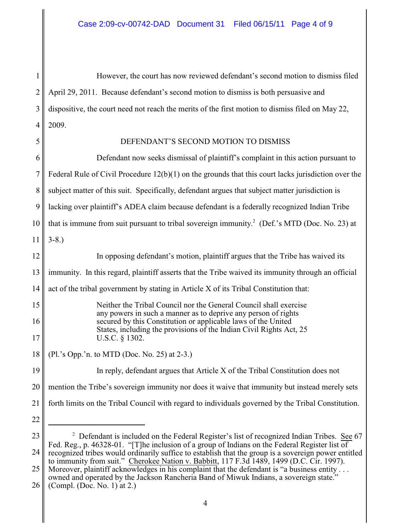1 2 3 4 However, the court has now reviewed defendant's second motion to dismiss filed April 29, 2011. Because defendant's second motion to dismiss is both persuasive and dispositive, the court need not reach the merits of the first motion to dismiss filed on May 22, 2009.

## 5

22

## DEFENDANT'S SECOND MOTION TO DISMISS

6 7 8 9 10 11 12 13 14 15 16 17 18 19 20 Defendant now seeks dismissal of plaintiff's complaint in this action pursuant to Federal Rule of Civil Procedure 12(b)(1) on the grounds that this court lacks jurisdiction over the subject matter of this suit. Specifically, defendant argues that subject matter jurisdiction is lacking over plaintiff's ADEA claim because defendant is a federally recognized Indian Tribe that is immune from suit pursuant to tribal sovereign immunity.<sup>2</sup> (Def.'s MTD (Doc. No. 23) at 3-8.) In opposing defendant's motion, plaintiff argues that the Tribe has waived its immunity. In this regard, plaintiff asserts that the Tribe waived its immunity through an official act of the tribal government by stating in Article X of its Tribal Constitution that: Neither the Tribal Council nor the General Council shall exercise any powers in such a manner as to deprive any person of rights secured by this Constitution or applicable laws of the United States, including the provisions of the Indian Civil Rights Act, 25 U.S.C. § 1302. (Pl.'s Opp.'n. to MTD (Doc. No. 25) at 2-3.) In reply, defendant argues that Article X of the Tribal Constitution does not mention the Tribe's sovereign immunity nor does it waive that immunity but instead merely sets

21 forth limits on the Tribal Council with regard to individuals governed by the Tribal Constitution.

26 (Compl. (Doc. No. 1) at 2.)

<sup>23</sup> 24  $2$  Defendant is included on the Federal Register's list of recognized Indian Tribes. See 67 Fed. Reg., p. 46328-01. "[T]he inclusion of a group of Indians on the Federal Register list of recognized tribes would ordinarily suffice to establish that the group is a sovereign power entitled to immunity from suit." Cherokee Nation v. Babbitt, 117 F.3d 1489, 1499 (D.C. Cir. 1997).

<sup>25</sup> Moreover, plaintiff acknowledges in his complaint that the defendant is "a business entity... owned and operated by the Jackson Rancheria Band of Miwuk Indians, a sovereign state."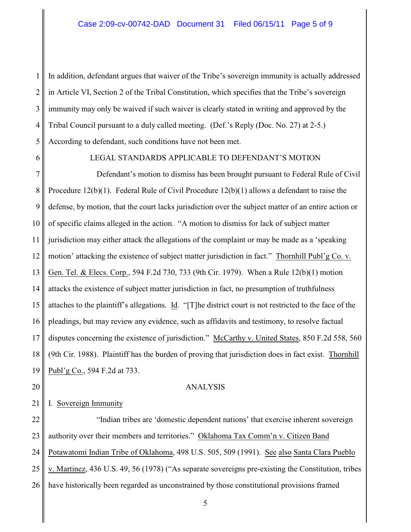1 2 3 4 5 In addition, defendant argues that waiver of the Tribe's sovereign immunity is actually addressed in Article VI, Section 2 of the Tribal Constitution, which specifies that the Tribe's sovereign immunity may only be waived if such waiver is clearly stated in writing and approved by the Tribal Council pursuant to a duly called meeting. (Def.'s Reply (Doc. No. 27) at 2-5.) According to defendant, such conditions have not been met.

6

## LEGAL STANDARDS APPLICABLE TO DEFENDANT'S MOTION

7 8 9 10 11 12 13 14 15 16 17 18 19 Defendant's motion to dismiss has been brought pursuant to Federal Rule of Civil Procedure 12(b)(1). Federal Rule of Civil Procedure 12(b)(1) allows a defendant to raise the defense, by motion, that the court lacks jurisdiction over the subject matter of an entire action or of specific claims alleged in the action. "A motion to dismiss for lack of subject matter jurisdiction may either attack the allegations of the complaint or may be made as a 'speaking motion' attacking the existence of subject matter jurisdiction in fact." Thornhill Publ'g Co. v. Gen. Tel. & Elecs. Corp., 594 F.2d 730, 733 (9th Cir. 1979). When a Rule 12(b)(1) motion attacks the existence of subject matter jurisdiction in fact, no presumption of truthfulness attaches to the plaintiff's allegations. Id. "[T]he district court is not restricted to the face of the pleadings, but may review any evidence, such as affidavits and testimony, to resolve factual disputes concerning the existence of jurisdiction." McCarthy v. United States, 850 F.2d 558, 560 (9th Cir. 1988). Plaintiff has the burden of proving that jurisdiction does in fact exist. Thornhill Publ'g Co., 594 F.2d at 733.

20

## ANALYSIS

21 I. Sovereign Immunity

22 23 24 25 26 "Indian tribes are 'domestic dependent nations' that exercise inherent sovereign authority over their members and territories." Oklahoma Tax Comm'n v. Citizen Band Potawatomi Indian Tribe of Oklahoma, 498 U.S. 505, 509 (1991). See also Santa Clara Pueblo v. Martinez, 436 U.S. 49, 56 (1978) ("As separate sovereigns pre-existing the Constitution, tribes have historically been regarded as unconstrained by those constitutional provisions framed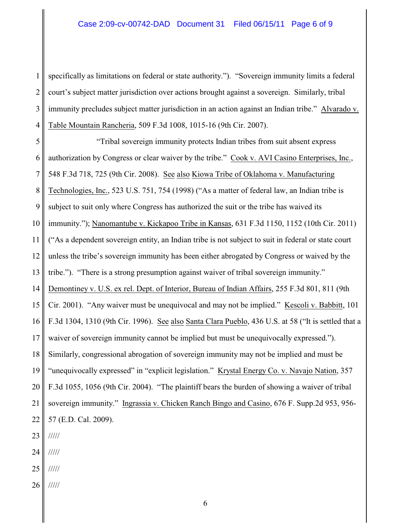1 2 3 4 specifically as limitations on federal or state authority."). "Sovereign immunity limits a federal court's subject matter jurisdiction over actions brought against a sovereign. Similarly, tribal immunity precludes subject matter jurisdiction in an action against an Indian tribe." Alvarado v. Table Mountain Rancheria, 509 F.3d 1008, 1015-16 (9th Cir. 2007).

5 6 7 8 9 10 11 12 13 14 15 16 17 18 19 20 21 22 23 "Tribal sovereign immunity protects Indian tribes from suit absent express authorization by Congress or clear waiver by the tribe." Cook v. AVI Casino Enterprises, Inc., 548 F.3d 718, 725 (9th Cir. 2008). See also Kiowa Tribe of Oklahoma v. Manufacturing Technologies, Inc., 523 U.S. 751, 754 (1998) ("As a matter of federal law, an Indian tribe is subject to suit only where Congress has authorized the suit or the tribe has waived its immunity."); Nanomantube v. Kickapoo Tribe in Kansas, 631 F.3d 1150, 1152 (10th Cir. 2011) ("As a dependent sovereign entity, an Indian tribe is not subject to suit in federal or state court unless the tribe's sovereign immunity has been either abrogated by Congress or waived by the tribe."). "There is a strong presumption against waiver of tribal sovereign immunity." Demontiney v. U.S. ex rel. Dept. of Interior, Bureau of Indian Affairs, 255 F.3d 801, 811 (9th Cir. 2001). "Any waiver must be unequivocal and may not be implied." Kescoli v. Babbitt, 101 F.3d 1304, 1310 (9th Cir. 1996). See also Santa Clara Pueblo, 436 U.S. at 58 ("It is settled that a waiver of sovereign immunity cannot be implied but must be unequivocally expressed."). Similarly, congressional abrogation of sovereign immunity may not be implied and must be "unequivocally expressed" in "explicit legislation." Krystal Energy Co. v. Navajo Nation, 357 F.3d 1055, 1056 (9th Cir. 2004). "The plaintiff bears the burden of showing a waiver of tribal sovereign immunity." Ingrassia v. Chicken Ranch Bingo and Casino, 676 F. Supp.2d 953, 956- 57 (E.D. Cal. 2009). /////

24 /////

- 25 /////
- 26 /////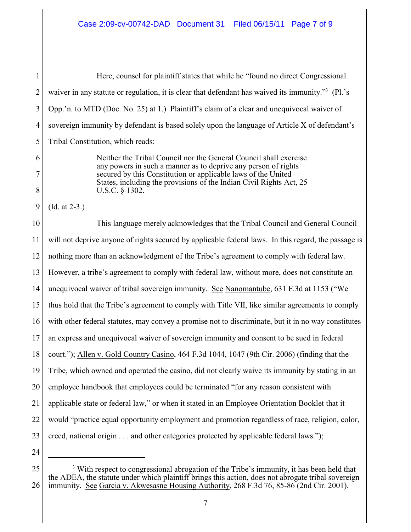1 2 3 4 5 6 7 8 9 10 11 12 13 14 15 16 17 18 19 20 21 22 23 24 Here, counsel for plaintiff states that while he "found no direct Congressional waiver in any statute or regulation, it is clear that defendant has waived its immunity."<sup>3</sup> (Pl.'s Opp.'n. to MTD (Doc. No. 25) at 1.) Plaintiff's claim of a clear and unequivocal waiver of sovereign immunity by defendant is based solely upon the language of Article X of defendant's Tribal Constitution, which reads: Neither the Tribal Council nor the General Council shall exercise any powers in such a manner as to deprive any person of rights secured by this Constitution or applicable laws of the United States, including the provisions of the Indian Civil Rights Act, 25 U.S.C. § 1302. (Id. at 2-3.) This language merely acknowledges that the Tribal Council and General Council will not deprive anyone of rights secured by applicable federal laws. In this regard, the passage is nothing more than an acknowledgment of the Tribe's agreement to comply with federal law. However, a tribe's agreement to comply with federal law, without more, does not constitute an unequivocal waiver of tribal sovereign immunity. See Nanomantube, 631 F.3d at 1153 ("We thus hold that the Tribe's agreement to comply with Title VII, like similar agreements to comply with other federal statutes, may convey a promise not to discriminate, but it in no way constitutes an express and unequivocal waiver of sovereign immunity and consent to be sued in federal court."); Allen v. Gold Country Casino, 464 F.3d 1044, 1047 (9th Cir. 2006) (finding that the Tribe, which owned and operated the casino, did not clearly waive its immunity by stating in an employee handbook that employees could be terminated "for any reason consistent with applicable state or federal law," or when it stated in an Employee Orientation Booklet that it would "practice equal opportunity employment and promotion regardless of race, religion, color, creed, national origin . . . and other categories protected by applicable federal laws.");

<sup>25</sup> 26 <sup>3</sup> With respect to congressional abrogation of the Tribe's immunity, it has been held that the ADEA, the statute under which plaintiff brings this action, does not abrogate tribal sovereign immunity. See Garcia v. Akwesasne Housing Authority, 268 F.3d 76, 85-86 (2nd Cir. 2001).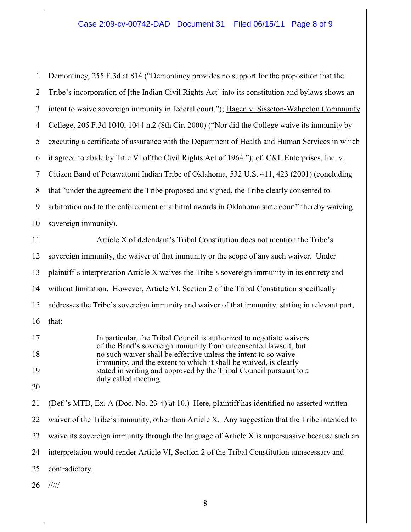1 2 3 4 5 6 7 8 9 10 Demontiney, 255 F.3d at 814 ("Demontiney provides no support for the proposition that the Tribe's incorporation of [the Indian Civil Rights Act] into its constitution and bylaws shows an intent to waive sovereign immunity in federal court."); Hagen v. Sisseton-Wahpeton Community College, 205 F.3d 1040, 1044 n.2 (8th Cir. 2000) ("Nor did the College waive its immunity by executing a certificate of assurance with the Department of Health and Human Services in which it agreed to abide by Title VI of the Civil Rights Act of 1964."); cf. C&L Enterprises, Inc. v. Citizen Band of Potawatomi Indian Tribe of Oklahoma, 532 U.S. 411, 423 (2001) (concluding that "under the agreement the Tribe proposed and signed, the Tribe clearly consented to arbitration and to the enforcement of arbitral awards in Oklahoma state court" thereby waiving sovereign immunity).

11 12 13 14 15 16 Article X of defendant's Tribal Constitution does not mention the Tribe's sovereign immunity, the waiver of that immunity or the scope of any such waiver. Under plaintiff's interpretation Article X waives the Tribe's sovereign immunity in its entirety and without limitation. However, Article VI, Section 2 of the Tribal Constitution specifically addresses the Tribe's sovereign immunity and waiver of that immunity, stating in relevant part, that:

> In particular, the Tribal Council is authorized to negotiate waivers of the Band's sovereign immunity from unconsented lawsuit, but no such waiver shall be effective unless the intent to so waive immunity, and the extent to which it shall be waived, is clearly stated in writing and approved by the Tribal Council pursuant to a duly called meeting.

21 22 23 24 25 (Def.'s MTD, Ex. A (Doc. No. 23-4) at 10.) Here, plaintiff has identified no asserted written waiver of the Tribe's immunity, other than Article X. Any suggestion that the Tribe intended to waive its sovereign immunity through the language of Article X is unpersuasive because such an interpretation would render Article VI, Section 2 of the Tribal Constitution unnecessary and contradictory.

26 /////

17

18

19

20